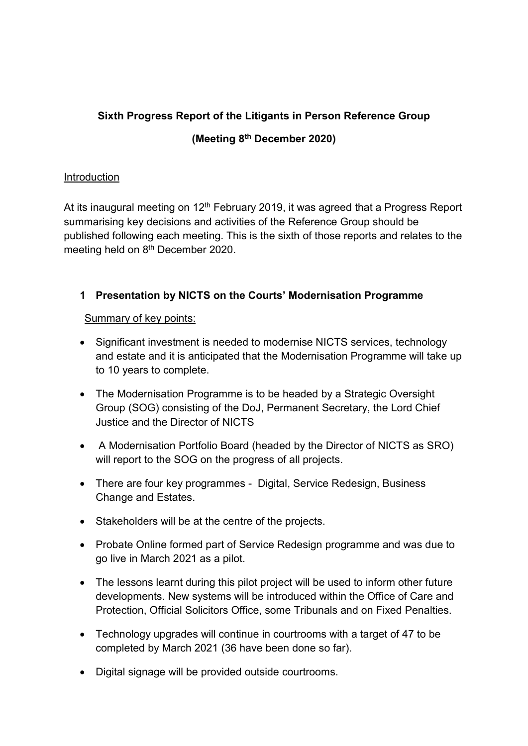# Sixth Progress Report of the Litigants in Person Reference Group (Meeting 8th December 2020)

### **Introduction**

At its inaugural meeting on  $12<sup>th</sup>$  February 2019, it was agreed that a Progress Report summarising key decisions and activities of the Reference Group should be published following each meeting. This is the sixth of those reports and relates to the meeting held on 8<sup>th</sup> December 2020.

## 1 Presentation by NICTS on the Courts' Modernisation Programme

#### Summary of key points:

- Significant investment is needed to modernise NICTS services, technology and estate and it is anticipated that the Modernisation Programme will take up to 10 years to complete.
- The Modernisation Programme is to be headed by a Strategic Oversight Group (SOG) consisting of the DoJ, Permanent Secretary, the Lord Chief Justice and the Director of NICTS
- A Modernisation Portfolio Board (headed by the Director of NICTS as SRO) will report to the SOG on the progress of all projects.
- There are four key programmes Digital, Service Redesign, Business Change and Estates.
- Stakeholders will be at the centre of the projects.
- Probate Online formed part of Service Redesign programme and was due to go live in March 2021 as a pilot.
- The lessons learnt during this pilot project will be used to inform other future developments. New systems will be introduced within the Office of Care and Protection, Official Solicitors Office, some Tribunals and on Fixed Penalties.
- Technology upgrades will continue in courtrooms with a target of 47 to be completed by March 2021 (36 have been done so far).
- Digital signage will be provided outside courtrooms.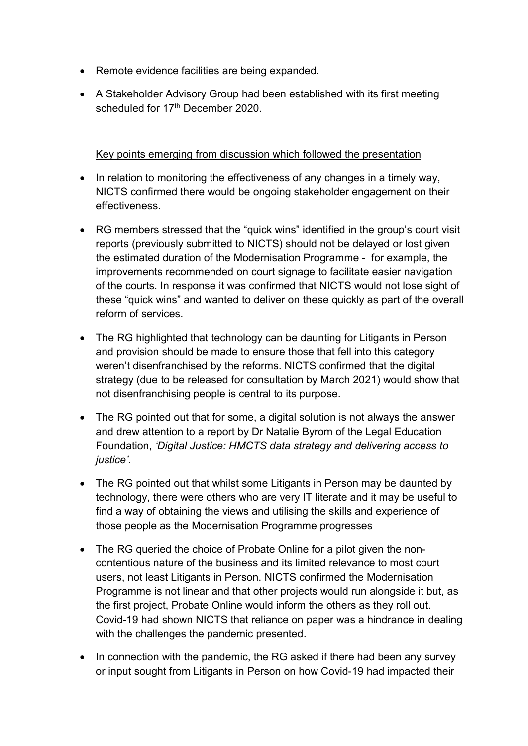- Remote evidence facilities are being expanded.
- A Stakeholder Advisory Group had been established with its first meeting scheduled for 17<sup>th</sup> December 2020.

Key points emerging from discussion which followed the presentation

- In relation to monitoring the effectiveness of any changes in a timely way, NICTS confirmed there would be ongoing stakeholder engagement on their effectiveness.
- RG members stressed that the "quick wins" identified in the group's court visit reports (previously submitted to NICTS) should not be delayed or lost given the estimated duration of the Modernisation Programme - for example, the improvements recommended on court signage to facilitate easier navigation of the courts. In response it was confirmed that NICTS would not lose sight of these "quick wins" and wanted to deliver on these quickly as part of the overall reform of services.
- The RG highlighted that technology can be daunting for Litigants in Person and provision should be made to ensure those that fell into this category weren't disenfranchised by the reforms. NICTS confirmed that the digital strategy (due to be released for consultation by March 2021) would show that not disenfranchising people is central to its purpose.
- The RG pointed out that for some, a digital solution is not always the answer and drew attention to a report by Dr Natalie Byrom of the Legal Education Foundation, 'Digital Justice: HMCTS data strategy and delivering access to iustice'.
- The RG pointed out that whilst some Litigants in Person may be daunted by technology, there were others who are very IT literate and it may be useful to find a way of obtaining the views and utilising the skills and experience of those people as the Modernisation Programme progresses
- The RG queried the choice of Probate Online for a pilot given the noncontentious nature of the business and its limited relevance to most court users, not least Litigants in Person. NICTS confirmed the Modernisation Programme is not linear and that other projects would run alongside it but, as the first project, Probate Online would inform the others as they roll out. Covid-19 had shown NICTS that reliance on paper was a hindrance in dealing with the challenges the pandemic presented.
- In connection with the pandemic, the RG asked if there had been any survey or input sought from Litigants in Person on how Covid-19 had impacted their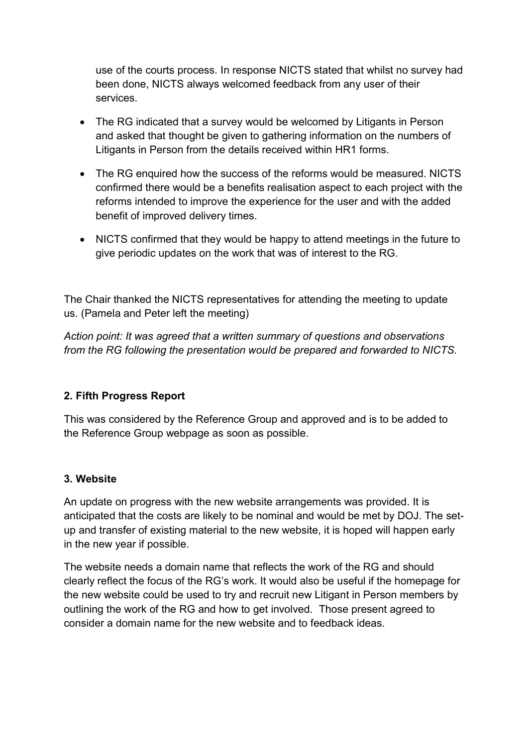use of the courts process. In response NICTS stated that whilst no survey had been done, NICTS always welcomed feedback from any user of their services.

- The RG indicated that a survey would be welcomed by Litigants in Person and asked that thought be given to gathering information on the numbers of Litigants in Person from the details received within HR1 forms.
- The RG enquired how the success of the reforms would be measured. NICTS confirmed there would be a benefits realisation aspect to each project with the reforms intended to improve the experience for the user and with the added benefit of improved delivery times.
- NICTS confirmed that they would be happy to attend meetings in the future to give periodic updates on the work that was of interest to the RG.

The Chair thanked the NICTS representatives for attending the meeting to update us. (Pamela and Peter left the meeting)

Action point: It was agreed that a written summary of questions and observations from the RG following the presentation would be prepared and forwarded to NICTS.

## 2. Fifth Progress Report

This was considered by the Reference Group and approved and is to be added to the Reference Group webpage as soon as possible.

## 3. Website

An update on progress with the new website arrangements was provided. It is anticipated that the costs are likely to be nominal and would be met by DOJ. The setup and transfer of existing material to the new website, it is hoped will happen early in the new year if possible.

The website needs a domain name that reflects the work of the RG and should clearly reflect the focus of the RG's work. It would also be useful if the homepage for the new website could be used to try and recruit new Litigant in Person members by outlining the work of the RG and how to get involved. Those present agreed to consider a domain name for the new website and to feedback ideas.